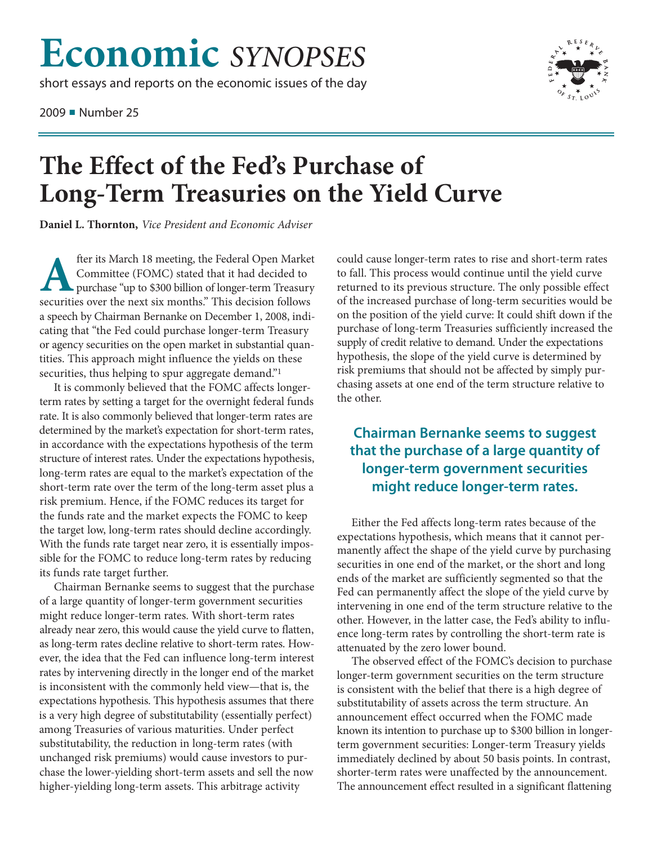## **Economic** *SYNOPSES*

short essays and reports on the economic issues of the day

2009 ■ Number 25



## **The Effect of the Fed's Purchase of Long-Term Treasuries on the Yield Curve**

**Daniel L. Thornton,** *Vice President and Economic Adviser*

**A** fter its March 18 meeting, the Federal Open Market<br>
Committee (FOMC) stated that it had decided to<br>
purchase "up to \$300 billion of longer-term Treasury<br>
securities over the next six months." This decision follows Committee (FOMC) stated that it had decided to securities over the next six months." This decision follows a speech by Chairman Bernanke on December 1, 2008, indicating that "the Fed could purchase longer-term Treasury or agency securities on the open market in substantial quantities. This approach might influence the yields on these securities, thus helping to spur aggregate demand."<sup>1</sup>

It is commonly believed that the FOMC affects longerterm rates by setting a target for the overnight federal funds rate. It is also commonly believed that longer-term rates are determined by the market's expectation for short-term rates, in accordance with the expectations hypothesis of the term structure of interest rates. Under the expectations hypothesis, long-term rates are equal to the market's expectation of the short-term rate over the term of the long-term asset plus a risk premium. Hence, if the FOMC reduces its target for the funds rate and the market expects the FOMC to keep the target low, long-term rates should decline accordingly. With the funds rate target near zero, it is essentially impossible for the FOMC to reduce long-term rates by reducing its funds rate target further.

Chairman Bernanke seems to suggest that the purchase of a large quantity of longer-term government securities might reduce longer-term rates. With short-term rates already near zero, this would cause the yield curve to flatten, as long-term rates decline relative to short-term rates. However, the idea that the Fed can influence long-term interest rates by intervening directly in the longer end of the market is inconsistent with the commonly held view—that is, the expectations hypothesis. This hypothesis assumes that there is a very high degree of substitutability (essentially perfect) among Treasuries of various maturities. Under perfect substitutability, the reduction in long-term rates (with unchanged risk premiums) would cause investors to purchase the lower-yielding short-term assets and sell the now higher-yielding long-term assets. This arbitrage activity

could cause longer-term rates to rise and short-term rates to fall. This process would continue until the yield curve returned to its previous structure. The only possible effect of the increased purchase of long-term securities would be on the position of the yield curve: It could shift down if the purchase of long-term Treasuries sufficiently increased the supply of credit relative to demand. Under the expectations hypothesis, the slope of the yield curve is determined by risk premiums that should not be affected by simply purchasing assets at one end of the term structure relative to the other.

## **Chairman Bernanke seems to suggest that the purchase of a large quantity of longer-term government securities might reduce longer-term rates.**

Either the Fed affects long-term rates because of the expectations hypothesis, which means that it cannot permanently affect the shape of the yield curve by purchasing securities in one end of the market, or the short and long ends of the market are sufficiently segmented so that the Fed can permanently affect the slope of the yield curve by intervening in one end of the term structure relative to the other. However, in the latter case, the Fed's ability to influence long-term rates by controlling the short-term rate is attenuated by the zero lower bound.

The observed effect of the FOMC's decision to purchase longer-term government securities on the term structure is consistent with the belief that there is a high degree of substitutability of assets across the term structure. An announcement effect occurred when the FOMC made known its intention to purchase up to \$300 billion in longerterm government securities: Longer-term Treasury yields immediately declined by about 50 basis points. In contrast, shorter-term rates were unaffected by the announcement. The announcement effect resulted in a significant flattening